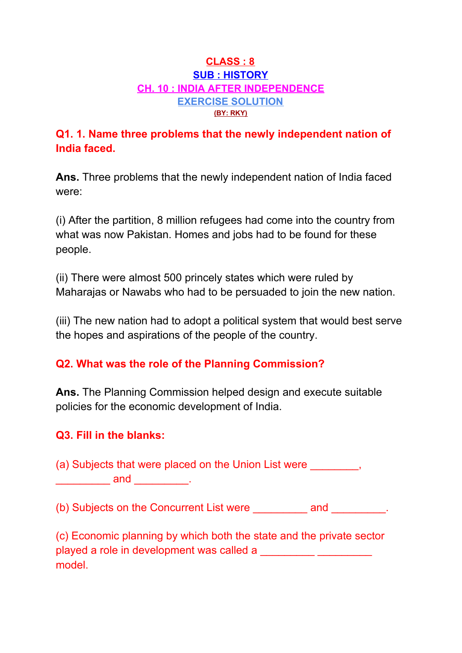#### **CLASS : 8 SUB : HISTORY CH. 10 : INDIA AFTER INDEPENDENCE EXERCISE SOLUTION (BY: RKY)**

## **Q1. 1. Name three problems that the newly independent nation of India faced.**

**Ans.** Three problems that the newly independent nation of India faced were:

(i) After the partition, 8 million refugees had come into the country from what was now Pakistan. Homes and jobs had to be found for these people.

(ii) There were almost 500 princely states which were ruled by Maharajas or Nawabs who had to be persuaded to join the new nation.

(iii) The new nation had to adopt a political system that would best serve the hopes and aspirations of the people of the country.

### **Q2. What was the role of the Planning Commission?**

**Ans.** The Planning Commission helped design and execute suitable policies for the economic development of India.

### **Q3. Fill in the blanks:**

(a) Subjects that were placed on the Union List were  $\qquad \qquad$ , \_\_\_\_\_\_\_\_\_\_ and \_\_\_\_\_\_\_\_\_\_.

(b) Subjects on the Concurrent List were early and the subjects on the Concurrent List were

(c) Economic planning by which both the state and the private sector played a role in development was called a model.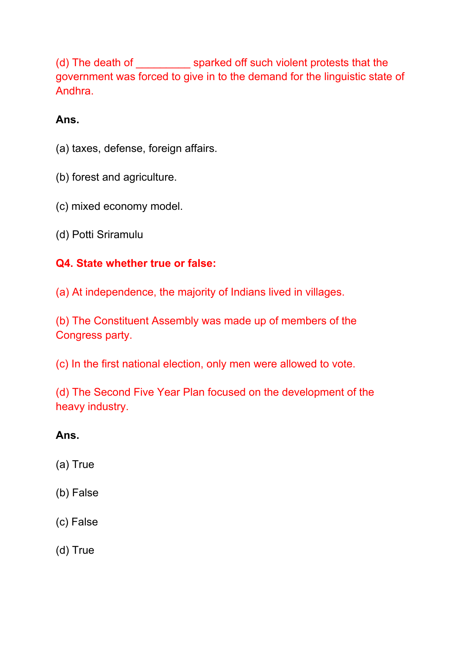(d) The death of \_\_\_\_\_\_\_\_\_ sparked off such violent protests that the government was forced to give in to the demand for the linguistic state of Andhra.

# **Ans.**

- (a) taxes, defense, foreign affairs.
- (b) forest and agriculture.
- (c) mixed economy model.
- (d) Potti Sriramulu

# **Q4. State whether true or false:**

(a) At independence, the majority of Indians lived in villages.

(b) The Constituent Assembly was made up of members of the Congress party.

(c) In the first national election, only men were allowed to vote.

(d) The Second Five Year Plan focused on the development of the heavy industry.

# **Ans.**

- (a) True
- (b) False
- (c) False
- (d) True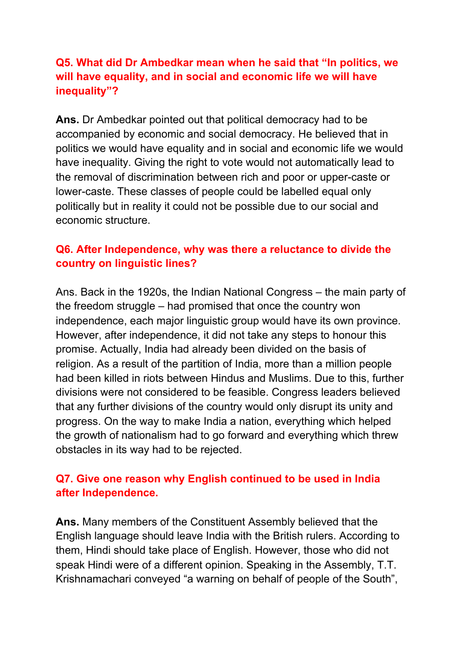### **Q5. What did Dr Ambedkar mean when he said that "In politics, we will have equality, and in social and economic life we will have inequality"?**

**Ans.** Dr Ambedkar pointed out that political democracy had to be accompanied by economic and social democracy. He believed that in politics we would have equality and in social and economic life we would have inequality. Giving the right to vote would not automatically lead to the removal of discrimination between rich and poor or upper-caste or lower-caste. These classes of people could be labelled equal only politically but in reality it could not be possible due to our social and economic structure.

## **Q6. After Independence, why was there a reluctance to divide the country on linguistic lines?**

Ans. Back in the 1920s, the Indian National Congress – the main party of the freedom struggle – had promised that once the country won independence, each major linguistic group would have its own province. However, after independence, it did not take any steps to honour this promise. Actually, India had already been divided on the basis of religion. As a result of the partition of India, more than a million people had been killed in riots between Hindus and Muslims. Due to this, further divisions were not considered to be feasible. Congress leaders believed that any further divisions of the country would only disrupt its unity and progress. On the way to make India a nation, everything which helped the growth of nationalism had to go forward and everything which threw obstacles in its way had to be rejected.

### **Q7. Give one reason why English continued to be used in India after Independence.**

**Ans.** Many members of the Constituent Assembly believed that the English language should leave India with the British rulers. According to them, Hindi should take place of English. However, those who did not speak Hindi were of a different opinion. Speaking in the Assembly, T.T. Krishnamachari conveyed "a warning on behalf of people of the South",